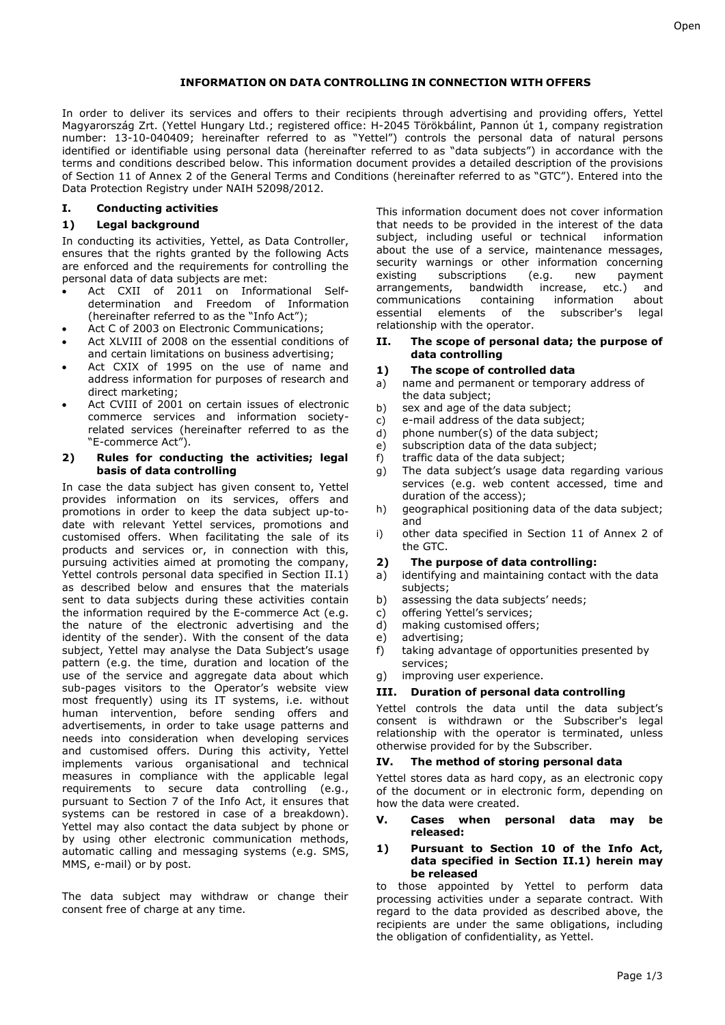# **INFORMATION ON DATA CONTROLLING IN CONNECTION WITH OFFERS**

In order to deliver its services and offers to their recipients through advertising and providing offers, Yettel Magyarország Zrt. (Yettel Hungary Ltd.; registered office: H-2045 Törökbálint, Pannon út 1, company registration number: 13-10-040409; hereinafter referred to as "Yettel") controls the personal data of natural persons identified or identifiable using personal data (hereinafter referred to as "data subjects") in accordance with the terms and conditions described below. This information document provides a detailed description of the provisions of Section 11 of Annex 2 of the General Terms and Conditions (hereinafter referred to as "GTC"). Entered into the Data Protection Registry under NAIH 52098/2012.

# **I. Conducting activities**

# **1) Legal background**

In conducting its activities, Yettel, as Data Controller, ensures that the rights granted by the following Acts are enforced and the requirements for controlling the personal data of data subjects are met:

- Act CXII of 2011 on Informational Selfdetermination and Freedom of Information (hereinafter referred to as the "Info Act");
- Act C of 2003 on Electronic Communications;
- Act XLVIII of 2008 on the essential conditions of and certain limitations on business advertising;
- Act CXIX of 1995 on the use of name and address information for purposes of research and direct marketing;
- Act CVIII of 2001 on certain issues of electronic commerce services and information societyrelated services (hereinafter referred to as the "E-commerce Act").

# **2) Rules for conducting the activities; legal basis of data controlling**

In case the data subject has given consent to, Yettel provides information on its services, offers and promotions in order to keep the data subject up-todate with relevant Yettel services, promotions and customised offers. When facilitating the sale of its products and services or, in connection with this, pursuing activities aimed at promoting the company, Yettel controls personal data specified in Section II.1) as described below and ensures that the materials sent to data subjects during these activities contain the information required by the E-commerce Act (e.g. the nature of the electronic advertising and the identity of the sender). With the consent of the data subject, Yettel may analyse the Data Subject's usage pattern (e.g. the time, duration and location of the use of the service and aggregate data about which sub-pages visitors to the Operator's website view most frequently) using its IT systems, i.e. without human intervention, before sending offers and advertisements, in order to take usage patterns and needs into consideration when developing services and customised offers. During this activity, Yettel implements various organisational and technical measures in compliance with the applicable legal requirements to secure data controlling (e.g., pursuant to Section 7 of the Info Act, it ensures that systems can be restored in case of a breakdown). Yettel may also contact the data subject by phone or by using other electronic communication methods, automatic calling and messaging systems (e.g. SMS, MMS, e-mail) or by post.

The data subject may withdraw or change their consent free of charge at any time.

This information document does not cover information that needs to be provided in the interest of the data subject, including useful or technical information about the use of a service, maintenance messages, security warnings or other information concerning existing subscriptions (e.g. new payment<br>arrangements, bandwidth increase, etc.) and arrangements, bandwidth increase, etc.) and<br>communications containing information about communications containing information about essential elements of the subscriber's legal relationship with the operator.

#### **II. The scope of personal data; the purpose of data controlling**

### **1) The scope of controlled data**

- a) name and permanent or temporary address of the data subject;
- b) sex and age of the data subject;
- c) e-mail address of the data subject;
- d) phone number(s) of the data subject;
- e) subscription data of the data subject;
- f) traffic data of the data subject;
- g) The data subject's usage data regarding various services (e.g. web content accessed, time and duration of the access);
- h) geographical positioning data of the data subject; and
- i) other data specified in Section 11 of Annex 2 of the GTC.

#### **2) The purpose of data controlling:**

- a) identifying and maintaining contact with the data subjects;
- b) assessing the data subjects' needs;
- c) offering Yettel's services;
- d) making customised offers;
- e) advertising;
- f) taking advantage of opportunities presented by services;
- g) improving user experience.

### **III. Duration of personal data controlling**

Yettel controls the data until the data subject's consent is withdrawn or the Subscriber's legal relationship with the operator is terminated, unless otherwise provided for by the Subscriber.

### **IV. The method of storing personal data**

Yettel stores data as hard copy, as an electronic copy of the document or in electronic form, depending on how the data were created.

### **V. Cases when personal data may be released:**

### **1) Pursuant to Section 10 of the Info Act, data specified in Section II.1) herein may be released**

to those appointed by Yettel to perform data processing activities under a separate contract. With regard to the data provided as described above, the recipients are under the same obligations, including the obligation of confidentiality, as Yettel.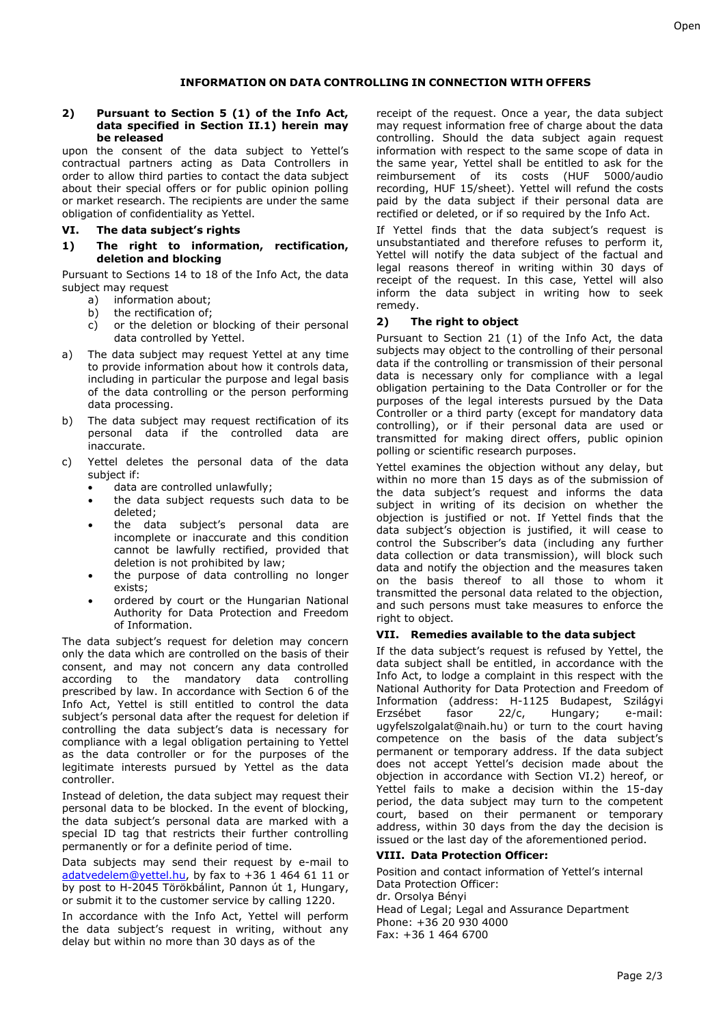### **INFORMATION ON DATA CONTROLLING IN CONNECTION WITH OFFERS**

#### **2) Pursuant to Section 5 (1) of the Info Act, data specified in Section II.1) herein may be released**

upon the consent of the data subject to Yettel's contractual partners acting as Data Controllers in order to allow third parties to contact the data subject about their special offers or for public opinion polling or market research. The recipients are under the same obligation of confidentiality as Yettel.

## **VI. The data subject's rights**

**1) The right to information, rectification, deletion and blocking**

Pursuant to Sections 14 to 18 of the Info Act, the data subject may request

- a) information about;
- b) the rectification of;
- c) or the deletion or blocking of their personal data controlled by Yettel.
- a) The data subject may request Yettel at any time to provide information about how it controls data, including in particular the purpose and legal basis of the data controlling or the person performing data processing.
- b) The data subject may request rectification of its personal data if the controlled data are inaccurate.
- c) Yettel deletes the personal data of the data subject if:
	- data are controlled unlawfully;
	- the data subject requests such data to be deleted;
	- the data subject's personal data are incomplete or inaccurate and this condition cannot be lawfully rectified, provided that deletion is not prohibited by law;
	- the purpose of data controlling no longer exists;
	- ordered by court or the Hungarian National Authority for Data Protection and Freedom of Information.

The data subject's request for deletion may concern only the data which are controlled on the basis of their consent, and may not concern any data controlled according to the mandatory data controlling prescribed by law. In accordance with Section 6 of the Info Act, Yettel is still entitled to control the data subject's personal data after the request for deletion if controlling the data subject's data is necessary for compliance with a legal obligation pertaining to Yettel as the data controller or for the purposes of the legitimate interests pursued by Yettel as the data controller.

Instead of deletion, the data subject may request their personal data to be blocked. In the event of blocking, the data subject's personal data are marked with a special ID tag that restricts their further controlling permanently or for a definite period of time.

Data subjects may send their request by e-mail t[o](mailto:%20adatvedelem@yettel.hu) [adatvedelem@yettel.hu,](mailto:%20adatvedelem@yettel.hu) by fax to +36 1 464 61 11 or by post to H-2045 Törökbálint, Pannon út 1, Hungary, or submit it to the customer service by calling 1220.

In accordance with the Info Act, Yettel will perform the data subject's request in writing, without any delay but within no more than 30 days as of the

receipt of the request. Once a year, the data subject may request information free of charge about the data controlling. Should the data subject again request information with respect to the same scope of data in the same year, Yettel shall be entitled to ask for the reimbursement of its costs (HUF 5000/audio recording, HUF 15/sheet). Yettel will refund the costs paid by the data subject if their personal data are rectified or deleted, or if so required by the Info Act.

If Yettel finds that the data subject's request is unsubstantiated and therefore refuses to perform it, Yettel will notify the data subject of the factual and legal reasons thereof in writing within 30 days of receipt of the request. In this case, Yettel will also inform the data subject in writing how to seek remedy.

# **2) The right to object**

Pursuant to Section 21 (1) of the Info Act, the data subjects may object to the controlling of their personal data if the controlling or transmission of their personal data is necessary only for compliance with a legal obligation pertaining to the Data Controller or for the purposes of the legal interests pursued by the Data Controller or a third party (except for mandatory data controlling), or if their personal data are used or transmitted for making direct offers, public opinion polling or scientific research purposes.

Yettel examines the objection without any delay, but within no more than 15 days as of the submission of the data subject's request and informs the data subject in writing of its decision on whether the objection is justified or not. If Yettel finds that the data subject's objection is justified, it will cease to control the Subscriber's data (including any further data collection or data transmission), will block such data and notify the objection and the measures taken on the basis thereof to all those to whom it transmitted the personal data related to the objection, and such persons must take measures to enforce the right to object.

### **VII. Remedies available to the data subject**

If the data subject's request is refused by Yettel, the data subject shall be entitled, in accordance with the Info Act, to lodge a complaint in this respect with the National Authority for Data Protection and Freedom of Information (address: H-1125 Budapest, Szilágyi Erzsébet fasor 22/c, Hungary; e-mail: [ugyfelszolgalat@naih.hu\)](mailto:ugyfelszolgalat@naih.hu) or turn to the court having competence on the basis of the data subject's permanent or temporary address. If the data subject does not accept Yettel's decision made about the objection in accordance with Section VI.2) hereof, or Yettel fails to make a decision within the 15-day period, the data subject may turn to the competent court, based on their permanent or temporary address, within 30 days from the day the decision is issued or the last day of the aforementioned period.

### **VIII. Data Protection Officer:**

Position and contact information of Yettel's internal Data Protection Officer: dr. Orsolya Bényi Head of Legal; Legal and Assurance Department Phone: +36 20 930 4000 Fax: +36 1 464 6700